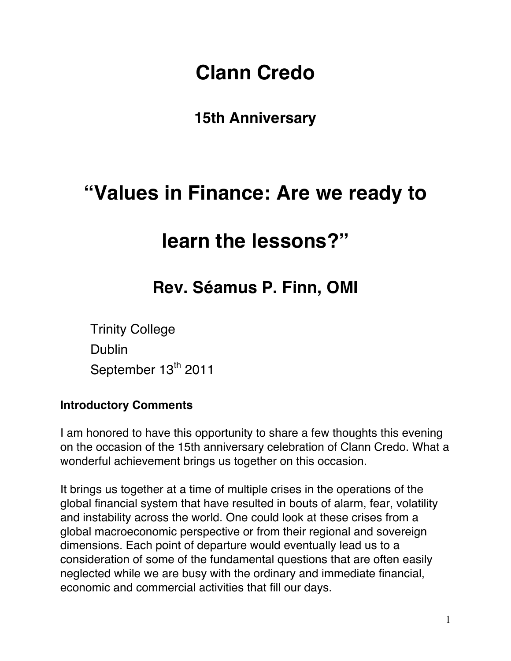# **Clann Credo**

### **15th Anniversary**

## **"Values in Finance: Are we ready to**

## **learn the lessons?"**

## **Rev. Séamus P. Finn, OMI**

Trinity College Dublin September 13<sup>th</sup> 2011

### **Introductory Comments**

I am honored to have this opportunity to share a few thoughts this evening on the occasion of the 15th anniversary celebration of Clann Credo. What a wonderful achievement brings us together on this occasion.

It brings us together at a time of multiple crises in the operations of the global financial system that have resulted in bouts of alarm, fear, volatility and instability across the world. One could look at these crises from a global macroeconomic perspective or from their regional and sovereign dimensions. Each point of departure would eventually lead us to a consideration of some of the fundamental questions that are often easily neglected while we are busy with the ordinary and immediate financial, economic and commercial activities that fill our days.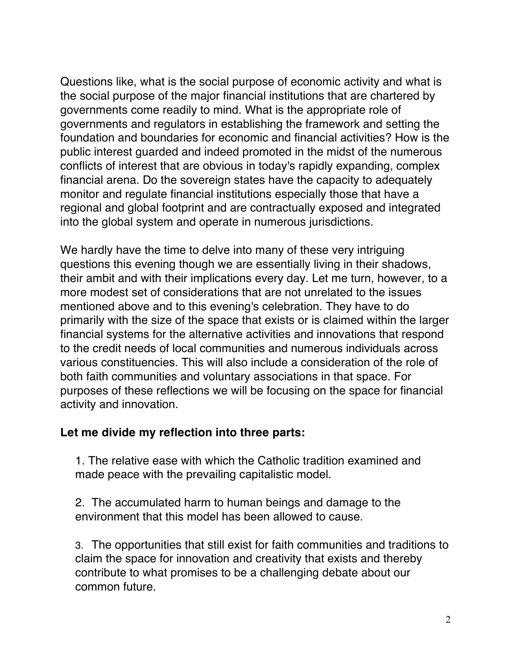Questions like, what is the social purpose of economic activity and what is the social purpose of the major financial institutions that are chartered by governments come readily to mind. What is the appropriate role of governments and regulators in establishing the framework and setting the foundation and boundaries for economic and financial activities? How is the public interest guarded and indeed promoted in the midst of the numerous conflicts of interest that are obvious in today's rapidly expanding, complex financial arena. Do the sovereign states have the capacity to adequately monitor and regulate financial institutions especially those that have a regional and global footprint and are contractually exposed and integrated into the global system and operate in numerous jurisdictions.

We hardly have the time to delve into many of these very intriguing questions this evening though we are essentially living in their shadows, their ambit and with their implications every day. Let me turn, however, to a more modest set of considerations that are not unrelated to the issues mentioned above and to this evening's celebration. They have to do primarily with the size of the space that exists or is claimed within the larger financial systems for the alternative activities and innovations that respond to the credit needs of local communities and numerous individuals across various constituencies. This will also include a consideration of the role of both faith communities and voluntary associations in that space. For purposes of these reflections we will be focusing on the space for financial activity and innovation.

### **Let me divide my reflection into three parts:**

1. The relative ease with which the Catholic tradition examined and made peace with the prevailing capitalistic model.

2. The accumulated harm to human beings and damage to the environment that this model has been allowed to cause.

3. The opportunities that still exist for faith communities and traditions to claim the space for innovation and creativity that exists and thereby contribute to what promises to be a challenging debate about our common future.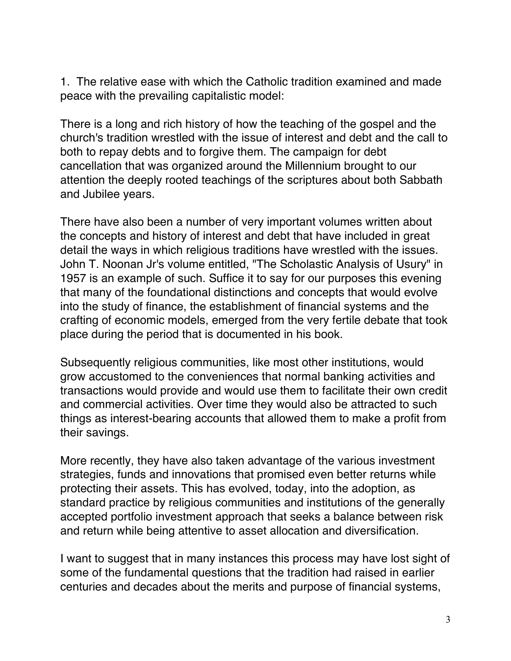1. The relative ease with which the Catholic tradition examined and made peace with the prevailing capitalistic model:

There is a long and rich history of how the teaching of the gospel and the church's tradition wrestled with the issue of interest and debt and the call to both to repay debts and to forgive them. The campaign for debt cancellation that was organized around the Millennium brought to our attention the deeply rooted teachings of the scriptures about both Sabbath and Jubilee years.

There have also been a number of very important volumes written about the concepts and history of interest and debt that have included in great detail the ways in which religious traditions have wrestled with the issues. John T. Noonan Jr's volume entitled, "The Scholastic Analysis of Usury" in 1957 is an example of such. Suffice it to say for our purposes this evening that many of the foundational distinctions and concepts that would evolve into the study of finance, the establishment of financial systems and the crafting of economic models, emerged from the very fertile debate that took place during the period that is documented in his book.

Subsequently religious communities, like most other institutions, would grow accustomed to the conveniences that normal banking activities and transactions would provide and would use them to facilitate their own credit and commercial activities. Over time they would also be attracted to such things as interest-bearing accounts that allowed them to make a profit from their savings.

More recently, they have also taken advantage of the various investment strategies, funds and innovations that promised even better returns while protecting their assets. This has evolved, today, into the adoption, as standard practice by religious communities and institutions of the generally accepted portfolio investment approach that seeks a balance between risk and return while being attentive to asset allocation and diversification.

I want to suggest that in many instances this process may have lost sight of some of the fundamental questions that the tradition had raised in earlier centuries and decades about the merits and purpose of financial systems,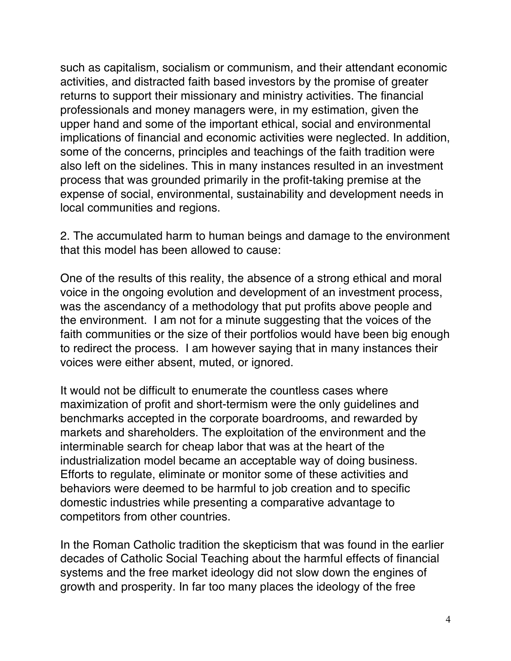such as capitalism, socialism or communism, and their attendant economic activities, and distracted faith based investors by the promise of greater returns to support their missionary and ministry activities. The financial professionals and money managers were, in my estimation, given the upper hand and some of the important ethical, social and environmental implications of financial and economic activities were neglected. In addition, some of the concerns, principles and teachings of the faith tradition were also left on the sidelines. This in many instances resulted in an investment process that was grounded primarily in the profit-taking premise at the expense of social, environmental, sustainability and development needs in local communities and regions.

2. The accumulated harm to human beings and damage to the environment that this model has been allowed to cause:

One of the results of this reality, the absence of a strong ethical and moral voice in the ongoing evolution and development of an investment process, was the ascendancy of a methodology that put profits above people and the environment. I am not for a minute suggesting that the voices of the faith communities or the size of their portfolios would have been big enough to redirect the process. I am however saying that in many instances their voices were either absent, muted, or ignored.

It would not be difficult to enumerate the countless cases where maximization of profit and short-termism were the only guidelines and benchmarks accepted in the corporate boardrooms, and rewarded by markets and shareholders. The exploitation of the environment and the interminable search for cheap labor that was at the heart of the industrialization model became an acceptable way of doing business. Efforts to regulate, eliminate or monitor some of these activities and behaviors were deemed to be harmful to job creation and to specific domestic industries while presenting a comparative advantage to competitors from other countries.

In the Roman Catholic tradition the skepticism that was found in the earlier decades of Catholic Social Teaching about the harmful effects of financial systems and the free market ideology did not slow down the engines of growth and prosperity. In far too many places the ideology of the free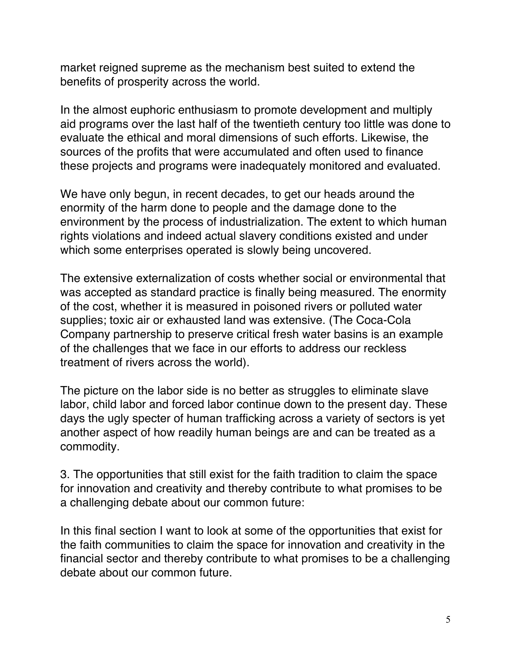market reigned supreme as the mechanism best suited to extend the benefits of prosperity across the world.

In the almost euphoric enthusiasm to promote development and multiply aid programs over the last half of the twentieth century too little was done to evaluate the ethical and moral dimensions of such efforts. Likewise, the sources of the profits that were accumulated and often used to finance these projects and programs were inadequately monitored and evaluated.

We have only begun, in recent decades, to get our heads around the enormity of the harm done to people and the damage done to the environment by the process of industrialization. The extent to which human rights violations and indeed actual slavery conditions existed and under which some enterprises operated is slowly being uncovered.

The extensive externalization of costs whether social or environmental that was accepted as standard practice is finally being measured. The enormity of the cost, whether it is measured in poisoned rivers or polluted water supplies; toxic air or exhausted land was extensive. (The Coca-Cola Company partnership to preserve critical fresh water basins is an example of the challenges that we face in our efforts to address our reckless treatment of rivers across the world).

The picture on the labor side is no better as struggles to eliminate slave labor, child labor and forced labor continue down to the present day. These days the ugly specter of human trafficking across a variety of sectors is yet another aspect of how readily human beings are and can be treated as a commodity.

3. The opportunities that still exist for the faith tradition to claim the space for innovation and creativity and thereby contribute to what promises to be a challenging debate about our common future:

In this final section I want to look at some of the opportunities that exist for the faith communities to claim the space for innovation and creativity in the financial sector and thereby contribute to what promises to be a challenging debate about our common future.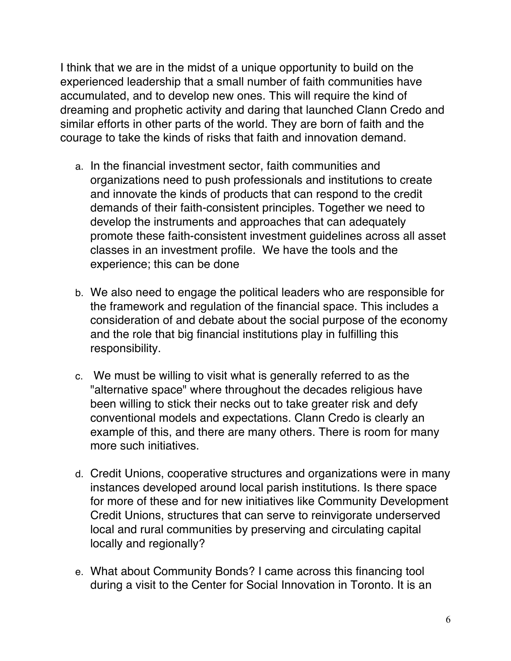I think that we are in the midst of a unique opportunity to build on the experienced leadership that a small number of faith communities have accumulated, and to develop new ones. This will require the kind of dreaming and prophetic activity and daring that launched Clann Credo and similar efforts in other parts of the world. They are born of faith and the courage to take the kinds of risks that faith and innovation demand.

- a. In the financial investment sector, faith communities and organizations need to push professionals and institutions to create and innovate the kinds of products that can respond to the credit demands of their faith-consistent principles. Together we need to develop the instruments and approaches that can adequately promote these faith-consistent investment guidelines across all asset classes in an investment profile. We have the tools and the experience; this can be done
- b. We also need to engage the political leaders who are responsible for the framework and regulation of the financial space. This includes a consideration of and debate about the social purpose of the economy and the role that big financial institutions play in fulfilling this responsibility.
- c. We must be willing to visit what is generally referred to as the "alternative space" where throughout the decades religious have been willing to stick their necks out to take greater risk and defy conventional models and expectations. Clann Credo is clearly an example of this, and there are many others. There is room for many more such initiatives.
- d. Credit Unions, cooperative structures and organizations were in many instances developed around local parish institutions. Is there space for more of these and for new initiatives like Community Development Credit Unions, structures that can serve to reinvigorate underserved local and rural communities by preserving and circulating capital locally and regionally?
- e. What about Community Bonds? I came across this financing tool during a visit to the Center for Social Innovation in Toronto. It is an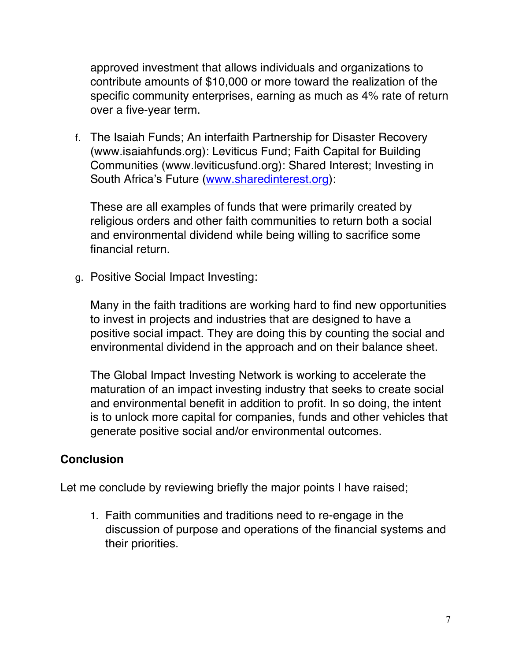approved investment that allows individuals and organizations to contribute amounts of \$10,000 or more toward the realization of the specific community enterprises, earning as much as 4% rate of return over a five-year term.

f. The Isaiah Funds; An interfaith Partnership for Disaster Recovery (www.isaiahfunds.org): Leviticus Fund; Faith Capital for Building Communities (www.leviticusfund.org): Shared Interest; Investing in South Africa's Future (www.sharedinterest.org):

These are all examples of funds that were primarily created by religious orders and other faith communities to return both a social and environmental dividend while being willing to sacrifice some financial return.

g. Positive Social Impact Investing:

Many in the faith traditions are working hard to find new opportunities to invest in projects and industries that are designed to have a positive social impact. They are doing this by counting the social and environmental dividend in the approach and on their balance sheet.

The Global Impact Investing Network is working to accelerate the maturation of an impact investing industry that seeks to create social and environmental benefit in addition to profit. In so doing, the intent is to unlock more capital for companies, funds and other vehicles that generate positive social and/or environmental outcomes.

#### **Conclusion**

Let me conclude by reviewing briefly the major points I have raised;

1. Faith communities and traditions need to re-engage in the discussion of purpose and operations of the financial systems and their priorities.